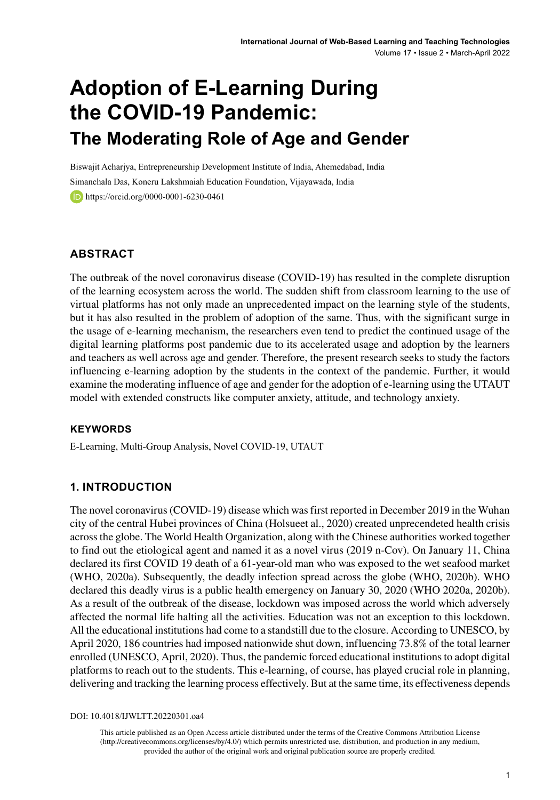# **Adoption of E-Learning During the COVID-19 Pandemic: The Moderating Role of Age and Gender**

Biswajit Acharjya, Entrepreneurship Development Institute of India, Ahemedabad, India Simanchala Das, Koneru Lakshmaiah Education Foundation, Vijayawada, India https://orcid.org/0000-0001-6230-0461

# **ABSTRACT**

The outbreak of the novel coronavirus disease (COVID-19) has resulted in the complete disruption of the learning ecosystem across the world. The sudden shift from classroom learning to the use of virtual platforms has not only made an unprecedented impact on the learning style of the students, but it has also resulted in the problem of adoption of the same. Thus, with the significant surge in the usage of e-learning mechanism, the researchers even tend to predict the continued usage of the digital learning platforms post pandemic due to its accelerated usage and adoption by the learners and teachers as well across age and gender. Therefore, the present research seeks to study the factors influencing e-learning adoption by the students in the context of the pandemic. Further, it would examine the moderating influence of age and gender for the adoption of e-learning using the UTAUT model with extended constructs like computer anxiety, attitude, and technology anxiety.

### **Keywords**

E-Learning, Multi-Group Analysis, Novel COVID-19, UTAUT

# **1. INTRODUCTION**

The novel coronavirus (COVID-19) disease which was first reported in December 2019 in the Wuhan city of the central Hubei provinces of China (Holsueet al., 2020) created unprecendeted health crisis across the globe. The World Health Organization, along with the Chinese authorities worked together to find out the etiological agent and named it as a novel virus (2019 n-Cov). On January 11, China declared its first COVID 19 death of a 61-year-old man who was exposed to the wet seafood market (WHO, 2020a). Subsequently, the deadly infection spread across the globe (WHO, 2020b). WHO declared this deadly virus is a public health emergency on January 30, 2020 (WHO 2020a, 2020b). As a result of the outbreak of the disease, lockdown was imposed across the world which adversely affected the normal life halting all the activities. Education was not an exception to this lockdown. All the educational institutions had come to a standstill due to the closure. According to UNESCO, by April 2020, 186 countries had imposed nationwide shut down, influencing 73.8% of the total learner enrolled (UNESCO, April, 2020). Thus, the pandemic forced educational institutions to adopt digital platforms to reach out to the students. This e-learning, of course, has played crucial role in planning, delivering and tracking the learning process effectively. But at the same time, its effectiveness depends

DOI: 10.4018/IJWLTT.20220301.oa4

This article published as an Open Access article distributed under the terms of the Creative Commons Attribution License (http://creativecommons.org/licenses/by/4.0/) which permits unrestricted use, distribution, and production in any medium, provided the author of the original work and original publication source are properly credited.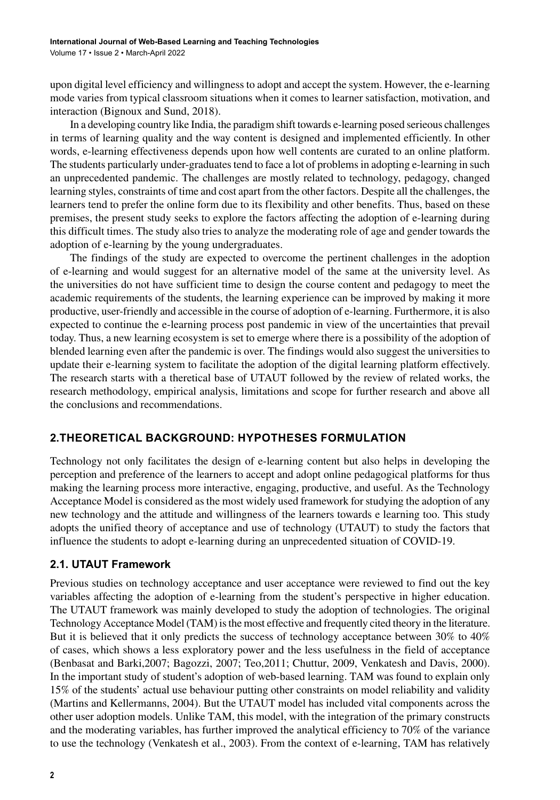upon digital level efficiency and willingness to adopt and accept the system. However, the e-learning mode varies from typical classroom situations when it comes to learner satisfaction, motivation, and interaction (Bignoux and Sund, 2018).

In a developing country like India, the paradigm shift towards e-learning posed serieous challenges in terms of learning quality and the way content is designed and implemented efficiently. In other words, e-learning effectiveness depends upon how well contents are curated to an online platform. The students particularly under-graduates tend to face a lot of problems in adopting e-learning in such an unprecedented pandemic. The challenges are mostly related to technology, pedagogy, changed learning styles, constraints of time and cost apart from the other factors. Despite all the challenges, the learners tend to prefer the online form due to its flexibility and other benefits. Thus, based on these premises, the present study seeks to explore the factors affecting the adoption of e-learning during this difficult times. The study also tries to analyze the moderating role of age and gender towards the adoption of e-learning by the young undergraduates.

The findings of the study are expected to overcome the pertinent challenges in the adoption of e-learning and would suggest for an alternative model of the same at the university level. As the universities do not have sufficient time to design the course content and pedagogy to meet the academic requirements of the students, the learning experience can be improved by making it more productive, user-friendly and accessible in the course of adoption of e-learning. Furthermore, it is also expected to continue the e-learning process post pandemic in view of the uncertainties that prevail today. Thus, a new learning ecosystem is set to emerge where there is a possibility of the adoption of blended learning even after the pandemic is over. The findings would also suggest the universities to update their e-learning system to facilitate the adoption of the digital learning platform effectively. The research starts with a theretical base of UTAUT followed by the review of related works, the research methodology, empirical analysis, limitations and scope for further research and above all the conclusions and recommendations.

# **2.THEORETICAL BACKGROUND: HYPOTHESES FORMULATION**

Technology not only facilitates the design of e-learning content but also helps in developing the perception and preference of the learners to accept and adopt online pedagogical platforms for thus making the learning process more interactive, engaging, productive, and useful. As the Technology Acceptance Model is considered as the most widely used framework for studying the adoption of any new technology and the attitude and willingness of the learners towards e learning too. This study adopts the unified theory of acceptance and use of technology (UTAUT) to study the factors that influence the students to adopt e-learning during an unprecedented situation of COVID-19.

# **2.1. UTAUT Framework**

Previous studies on technology acceptance and user acceptance were reviewed to find out the key variables affecting the adoption of e-learning from the student's perspective in higher education. The UTAUT framework was mainly developed to study the adoption of technologies. The original Technology Acceptance Model (TAM) is the most effective and frequently cited theory in the literature. But it is believed that it only predicts the success of technology acceptance between 30% to 40% of cases, which shows a less exploratory power and the less usefulness in the field of acceptance (Benbasat and Barki,2007; Bagozzi, 2007; Teo,2011; Chuttur, 2009, Venkatesh and Davis, 2000). In the important study of student's adoption of web-based learning. TAM was found to explain only 15% of the students' actual use behaviour putting other constraints on model reliability and validity (Martins and Kellermanns, 2004). But the UTAUT model has included vital components across the other user adoption models. Unlike TAM, this model, with the integration of the primary constructs and the moderating variables, has further improved the analytical efficiency to 70% of the variance to use the technology (Venkatesh et al., 2003). From the context of e-learning, TAM has relatively